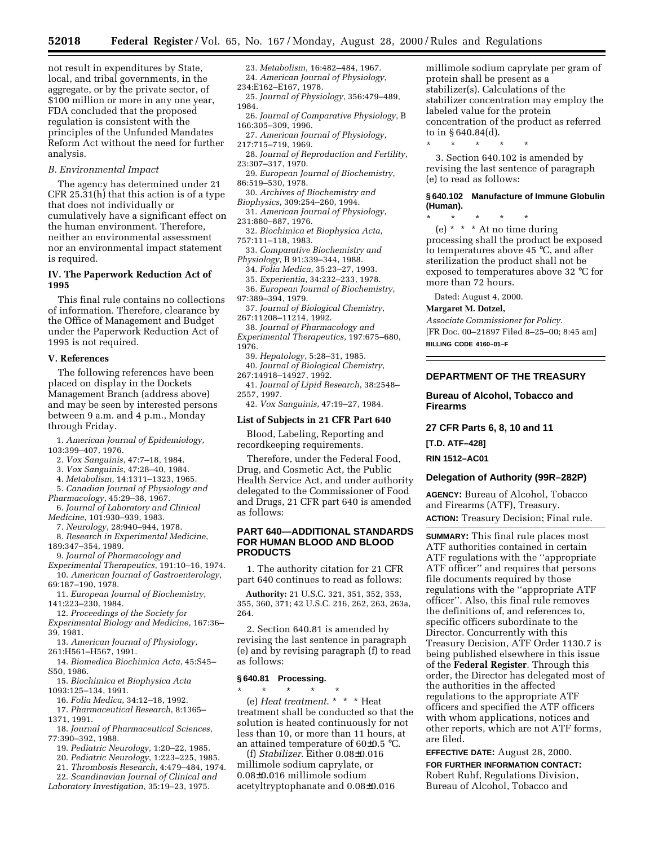not result in expenditures by State, local, and tribal governments, in the aggregate, or by the private sector, of \$100 million or more in any one year, FDA concluded that the proposed regulation is consistent with the principles of the Unfunded Mandates Reform Act without the need for further analysis.

# *B. Environmental Impact*

The agency has determined under 21 CFR 25.31(h) that this action is of a type that does not individually or cumulatively have a significant effect on the human environment. Therefore, neither an environmental assessment nor an environmental impact statement is required.

# **IV. The Paperwork Reduction Act of 1995**

This final rule contains no collections of information. Therefore, clearance by the Office of Management and Budget under the Paperwork Reduction Act of 1995 is not required.

## **V. References**

The following references have been placed on display in the Dockets Management Branch (address above) and may be seen by interested persons between 9 a.m. and 4 p.m., Monday through Friday.

1. *American Journal of Epidemiology*, 103:399–407, 1976.

- 2. *Vox Sanguinis*, 47:7–18, 1984.
- 3. *Vox Sanguinis*, 47:28–40, 1984.
- 4. *Metabolism*, 14:1311–1323, 1965.
- 5. *Canadian Journal of Physiology and*

*Pharmacology*, 45:29–38, 1967.

- 6. *Journal of Laboratory and Clinical Medicine*, 101:930–939, 1983.
- 7. *Neurology*, 28:940–944, 1978.
- 8. *Research in Experimental Medicine*, 189:347–354, 1989.

9. *Journal of Pharmacology and*

- *Experimental Therapeutics*, 191:10–16, 1974. 10. *American Journal of Gastroenterology*, 69:187–190, 1978.
- 11. *European Journal of Biochemistry*, 141:223–230, 1984.

12. *Proceedings of the Society for*

*Experimental Biology and Medicine*, 167:36– 39, 1981.

- 13. *American Journal of Physiology*, 261:H561–H567, 1991.
- 14. *Biomedica Biochimica Acta*, 45:S45– S50, 1986.
- 15. *Biochimica et Biophysica Acta* 1093:125–134, 1991.
- 16. *Folia Medica*, 34:12–18, 1992.

17. *Pharmaceutical Research*, 8:1365– 1371, 1991.

- 18. *Journal of Pharmaceutical Sciences*, 77:390–392, 1988.
	- 19. *Pediatric Neurology*, 1:20–22, 1985.

20. *Pediatric Neurology*, 1:223–225, 1985.

21. *Thrombosis Research*, 4:479–484, 1974.

- 22. *Scandinavian Journal of Clinical and*
- *Laboratory Investigation*, 35:19–23, 1975.

23. *Metabolism*, 16:482–484, 1967. 24. *American Journal of Physiology*, 234:E162–E167, 1978.

25. *Journal of Physiology*, 356:479–489, 1984.

- 26. *Journal of Comparative Physiology*, B 166:305–309, 1996.
- 27. *American Journal of Physiology*, 217:715–719, 1969.
- 28. *Journal of Reproduction and Fertility*, 23:307–317, 1970.
- 29. *European Journal of Biochemistry*, 86:519–530, 1978.
- 30. *Archives of Biochemistry and Biophysics*, 309:254–260, 1994.
- 31. *American Journal of Physiology*, 231:880–887, 1976.
- 32. *Biochimica et Biophysica Acta*, 757:111–118, 1983.
- 33. *Comparative Biochemistry and Physiology*, B 91:339–344, 1988.
	- 34. *Folia Medica*, 35:23–27, 1993.
- 35. *Experientia*, 34:232–233, 1978. 36. *European Journal of Biochemistry*,
- 97:389–394, 1979.
- 37. *Journal of Biological Chemistry*, 267:11208–11214, 1992.
- 38. *Journal of Pharmacology and Experimental Therapeutics*, 197:675–680, 1976.
	- 39. *Hepatology*, 5:28–31, 1985.
	- 40. *Journal of Biological Chemistry*,

267:14918–14927, 1992.

- 41. *Journal of Lipid Research*, 38:2548– 2557, 1997.
- 42. *Vox Sanguinis*, 47:19–27, 1984.

#### **List of Subjects in 21 CFR Part 640**

Blood, Labeling, Reporting and recordkeeping requirements.

Therefore, under the Federal Food, Drug, and Cosmetic Act, the Public Health Service Act, and under authority delegated to the Commissioner of Food and Drugs, 21 CFR part 640 is amended as follows:

# **PART 640—ADDITIONAL STANDARDS FOR HUMAN BLOOD AND BLOOD PRODUCTS**

1. The authority citation for 21 CFR part 640 continues to read as follows:

**Authority:** 21 U.S.C. 321, 351, 352, 353, 355, 360, 371; 42 U.S.C. 216, 262, 263, 263a, 264.

2. Section 640.81 is amended by revising the last sentence in paragraph (e) and by revising paragraph (f) to read as follows:

### **§ 640.81 Processing.**

\* \* \* \* \* (e) *Heat treatment*. \* \* \* Heat treatment shall be conducted so that the solution is heated continuously for not less than 10, or more than 11 hours, at an attained temperature of 60±0.5 °C.

(f) *Stabilizer*. Either 0.08±0.016 millimole sodium caprylate, or 0.08±0.016 millimole sodium acetyltryptophanate and 0.08±0.016

millimole sodium caprylate per gram of protein shall be present as a stabilizer(s). Calculations of the stabilizer concentration may employ the labeled value for the protein concentration of the product as referred to in § 640.84(d).

\* \* \* \* \*

3. Section 640.102 is amended by revising the last sentence of paragraph (e) to read as follows:

**§ 640.102 Manufacture of Immune Globulin (Human).**

\* \* \* \* \* (e) \* \* \* At no time during processing shall the product be exposed to temperatures above 45 °C, and after sterilization the product shall not be exposed to temperatures above 32 °C for more than 72 hours.

Dated: August 4, 2000.

#### **Margaret M. Dotzel,**

*Associate Commissioner for Policy.* [FR Doc. 00–21897 Filed 8–25–00; 8:45 am] **BILLING CODE 4160–01–F**

## **DEPARTMENT OF THE TREASURY**

# **Bureau of Alcohol, Tobacco and Firearms**

**27 CFR Parts 6, 8, 10 and 11**

**[T.D. ATF–428]**

**RIN 1512–AC01**

#### **Delegation of Authority (99R–282P)**

**AGENCY:** Bureau of Alcohol, Tobacco and Firearms (ATF), Treasury. **ACTION:** Treasury Decision; Final rule.

**SUMMARY:** This final rule places most ATF authorities contained in certain ATF regulations with the ''appropriate ATF officer'' and requires that persons file documents required by those regulations with the ''appropriate ATF officer''. Also, this final rule removes the definitions of, and references to, specific officers subordinate to the Director. Concurrently with this Treasury Decision, ATF Order 1130.7 is being published elsewhere in this issue of the **Federal Register**. Through this order, the Director has delegated most of the authorities in the affected regulations to the appropriate ATF officers and specified the ATF officers with whom applications, notices and other reports, which are not ATF forms, are filed.

**EFFECTIVE DATE:** August 28, 2000. **FOR FURTHER INFORMATION CONTACT:** Robert Ruhf, Regulations Division, Bureau of Alcohol, Tobacco and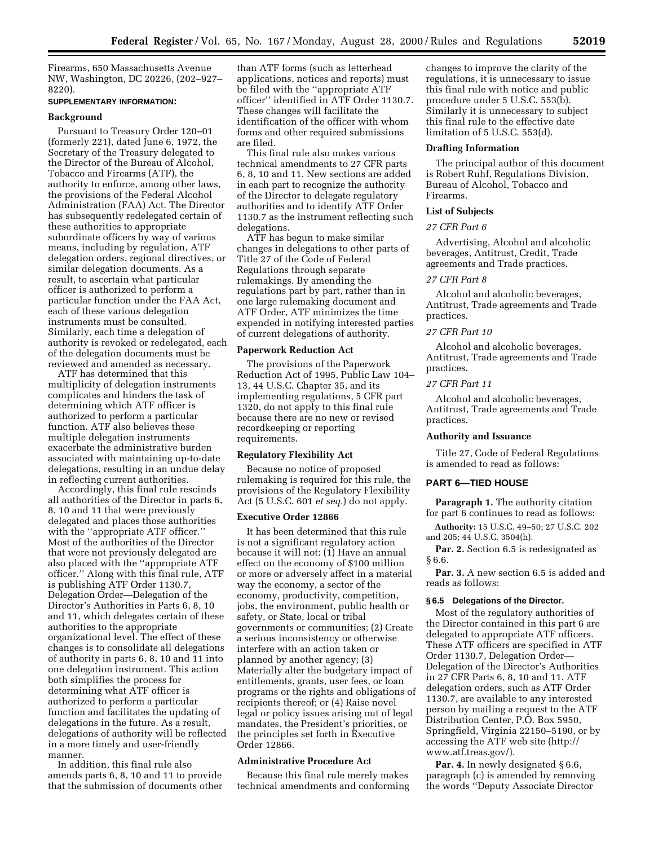Firearms, 650 Massachusetts Avenue NW, Washington, DC 20226, (202–927– 8220).

## **SUPPLEMENTARY INFORMATION:**

## **Background**

Pursuant to Treasury Order 120–01 (formerly 221), dated June 6, 1972, the Secretary of the Treasury delegated to the Director of the Bureau of Alcohol, Tobacco and Firearms (ATF), the authority to enforce, among other laws, the provisions of the Federal Alcohol Administration (FAA) Act. The Director has subsequently redelegated certain of these authorities to appropriate subordinate officers by way of various means, including by regulation, ATF delegation orders, regional directives, or similar delegation documents. As a result, to ascertain what particular officer is authorized to perform a particular function under the FAA Act, each of these various delegation instruments must be consulted. Similarly, each time a delegation of authority is revoked or redelegated, each of the delegation documents must be reviewed and amended as necessary.

ATF has determined that this multiplicity of delegation instruments complicates and hinders the task of determining which ATF officer is authorized to perform a particular function. ATF also believes these multiple delegation instruments exacerbate the administrative burden associated with maintaining up-to-date delegations, resulting in an undue delay in reflecting current authorities.

Accordingly, this final rule rescinds all authorities of the Director in parts 6, 8, 10 and 11 that were previously delegated and places those authorities with the ''appropriate ATF officer.'' Most of the authorities of the Director that were not previously delegated are also placed with the ''appropriate ATF officer.'' Along with this final rule, ATF is publishing ATF Order 1130.7, Delegation Order—Delegation of the Director's Authorities in Parts 6, 8, 10 and 11, which delegates certain of these authorities to the appropriate organizational level. The effect of these changes is to consolidate all delegations of authority in parts 6, 8, 10 and 11 into one delegation instrument. This action both simplifies the process for determining what ATF officer is authorized to perform a particular function and facilitates the updating of delegations in the future. As a result, delegations of authority will be reflected in a more timely and user-friendly manner.

In addition, this final rule also amends parts 6, 8, 10 and 11 to provide that the submission of documents other than ATF forms (such as letterhead applications, notices and reports) must be filed with the ''appropriate ATF officer'' identified in ATF Order 1130.7. These changes will facilitate the identification of the officer with whom forms and other required submissions are filed.

This final rule also makes various technical amendments to 27 CFR parts 6, 8, 10 and 11. New sections are added in each part to recognize the authority of the Director to delegate regulatory authorities and to identify ATF Order 1130.7 as the instrument reflecting such delegations.

ATF has begun to make similar changes in delegations to other parts of Title 27 of the Code of Federal Regulations through separate rulemakings. By amending the regulations part by part, rather than in one large rulemaking document and ATF Order, ATF minimizes the time expended in notifying interested parties of current delegations of authority.

## **Paperwork Reduction Act**

The provisions of the Paperwork Reduction Act of 1995, Public Law 104– 13, 44 U.S.C. Chapter 35, and its implementing regulations, 5 CFR part 1320, do not apply to this final rule because there are no new or revised recordkeeping or reporting requirements.

### **Regulatory Flexibility Act**

Because no notice of proposed rulemaking is required for this rule, the provisions of the Regulatory Flexibility Act (5 U.S.C. 601 *et seq.*) do not apply.

### **Executive Order 12866**

It has been determined that this rule is not a significant regulatory action because it will not: (1) Have an annual effect on the economy of \$100 million or more or adversely affect in a material way the economy, a sector of the economy, productivity, competition, jobs, the environment, public health or safety, or State, local or tribal governments or communities; (2) Create a serious inconsistency or otherwise interfere with an action taken or planned by another agency; (3) Materially alter the budgetary impact of entitlements, grants, user fees, or loan programs or the rights and obligations of recipients thereof; or (4) Raise novel legal or policy issues arising out of legal mandates, the President's priorities, or the principles set forth in Executive Order 12866.

## **Administrative Procedure Act**

Because this final rule merely makes technical amendments and conforming changes to improve the clarity of the regulations, it is unnecessary to issue this final rule with notice and public procedure under 5 U.S.C. 553(b). Similarly it is unnecessary to subject this final rule to the effective date limitation of 5 U.S.C. 553(d).

#### **Drafting Information**

The principal author of this document is Robert Ruhf, Regulations Division, Bureau of Alcohol, Tobacco and Firearms.

# **List of Subjects**

### *27 CFR Part 6*

Advertising, Alcohol and alcoholic beverages, Antitrust, Credit, Trade agreements and Trade practices.

## *27 CFR Part 8*

Alcohol and alcoholic beverages, Antitrust, Trade agreements and Trade practices.

### *27 CFR Part 10*

Alcohol and alcoholic beverages, Antitrust, Trade agreements and Trade practices.

### *27 CFR Part 11*

Alcohol and alcoholic beverages, Antitrust, Trade agreements and Trade practices.

### **Authority and Issuance**

Title 27, Code of Federal Regulations is amended to read as follows:

## **PART 6—TIED HOUSE**

**Paragraph 1.** The authority citation for part 6 continues to read as follows:

**Authority:** 15 U.S.C. 49–50; 27 U.S.C. 202 and 205; 44 U.S.C. 3504(h).

**Par. 2.** Section 6.5 is redesignated as § 6.6.

Par. 3. A new section 6.5 is added and reads as follows:

# **§ 6.5 Delegations of the Director.**

Most of the regulatory authorities of the Director contained in this part 6 are delegated to appropriate ATF officers. These ATF officers are specified in ATF Order 1130.7, Delegation Order— Delegation of the Director's Authorities in 27 CFR Parts 6, 8, 10 and 11. ATF delegation orders, such as ATF Order 1130.7, are available to any interested person by mailing a request to the ATF Distribution Center, P.O. Box 5950, Springfield, Virginia 22150–5190, or by accessing the ATF web site (http:// www.atf.treas.gov/).

Par. 4. In newly designated § 6.6, paragraph (c) is amended by removing the words ''Deputy Associate Director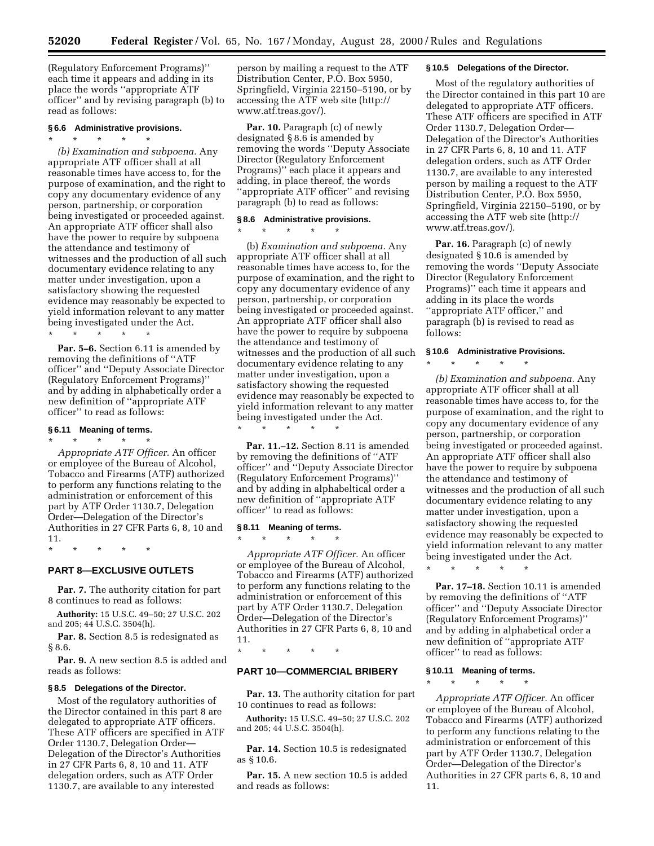(Regulatory Enforcement Programs)'' each time it appears and adding in its place the words ''appropriate ATF officer'' and by revising paragraph (b) to read as follows:

## **§ 6.6 Administrative provisions.**

# \* \* \* \* \* *(b) Examination and subpoena.* Any appropriate ATF officer shall at all reasonable times have access to, for the purpose of examination, and the right to copy any documentary evidence of any person, partnership, or corporation being investigated or proceeded against. An appropriate ATF officer shall also have the power to require by subpoena the attendance and testimony of witnesses and the production of all such documentary evidence relating to any matter under investigation, upon a satisfactory showing the requested evidence may reasonably be expected to yield information relevant to any matter being investigated under the Act. \* \* \* \* \*

**Par. 5–6.** Section 6.11 is amended by removing the definitions of ''ATF officer'' and ''Deputy Associate Director (Regulatory Enforcement Programs)'' and by adding in alphabetically order a new definition of ''appropriate ATF officer'' to read as follows:

## **§ 6.11 Meaning of terms.**

\* \* \* \* \* *Appropriate ATF Officer.* An officer or employee of the Bureau of Alcohol, Tobacco and Firearms (ATF) authorized to perform any functions relating to the administration or enforcement of this part by ATF Order 1130.7, Delegation Order—Delegation of the Director's Authorities in 27 CFR Parts 6, 8, 10 and 11.

\* \* \* \* \*

# **PART 8—EXCLUSIVE OUTLETS**

**Par. 7.** The authority citation for part 8 continues to read as follows:

**Authority:** 15 U.S.C. 49–50; 27 U.S.C. 202 and 205; 44 U.S.C. 3504(h).

**Par. 8.** Section 8.5 is redesignated as § 8.6.

**Par. 9.** A new section 8.5 is added and reads as follows:

### **§ 8.5 Delegations of the Director.**

Most of the regulatory authorities of the Director contained in this part 8 are delegated to appropriate ATF officers. These ATF officers are specified in ATF Order 1130.7, Delegation Order— Delegation of the Director's Authorities in 27 CFR Parts 6, 8, 10 and 11. ATF delegation orders, such as ATF Order 1130.7, are available to any interested

person by mailing a request to the ATF Distribution Center, P.O. Box 5950, Springfield, Virginia 22150–5190, or by accessing the ATF web site (http:// www.atf.treas.gov/).

**Par. 10.** Paragraph (c) of newly designated § 8.6 is amended by removing the words ''Deputy Associate Director (Regulatory Enforcement Programs)'' each place it appears and adding, in place thereof, the words 'appropriate ATF officer" and revising paragraph (b) to read as follows:

## **§ 8.6 Administrative provisions.**

\* \* \* \* \*

(b) *Examination and subpoena.* Any appropriate ATF officer shall at all reasonable times have access to, for the purpose of examination, and the right to copy any documentary evidence of any person, partnership, or corporation being investigated or proceeded against. An appropriate ATF officer shall also have the power to require by subpoena the attendance and testimony of witnesses and the production of all such documentary evidence relating to any matter under investigation, upon a satisfactory showing the requested evidence may reasonably be expected to yield information relevant to any matter being investigated under the Act. \* \* \* \* \*

**Par. 11.–12.** Section 8.11 is amended by removing the definitions of ''ATF officer'' and ''Deputy Associate Director (Regulatory Enforcement Programs)'' and by adding in alphabeltical order a new definition of ''appropriate ATF officer'' to read as follows:

### **§ 8.11 Meaning of terms.**  $\star$   $\star$   $\star$

*Appropriate ATF Officer.* An officer or employee of the Bureau of Alcohol, Tobacco and Firearms (ATF) authorized to perform any functions relating to the administration or enforcement of this part by ATF Order 1130.7, Delegation Order—Delegation of the Director's Authorities in 27 CFR Parts 6, 8, 10 and 11.

\* \* \* \* \*

# **PART 10—COMMERCIAL BRIBERY**

**Par. 13.** The authority citation for part 10 continues to read as follows:

**Authority:** 15 U.S.C. 49–50; 27 U.S.C. 202 and 205; 44 U.S.C. 3504(h).

**Par. 14.** Section 10.5 is redesignated as § 10.6.

Par. 15. A new section 10.5 is added and reads as follows:

# **§ 10.5 Delegations of the Director.**

Most of the regulatory authorities of the Director contained in this part 10 are delegated to appropriate ATF officers. These ATF officers are specified in ATF Order 1130.7, Delegation Order— Delegation of the Director's Authorities in 27 CFR Parts 6, 8, 10 and 11. ATF delegation orders, such as ATF Order 1130.7, are available to any interested person by mailing a request to the ATF Distribution Center, P.O. Box 5950, Springfield, Virginia 22150–5190, or by accessing the ATF web site (http:// www.atf.treas.gov/).

**Par. 16.** Paragraph (c) of newly designated § 10.6 is amended by removing the words ''Deputy Associate Director (Regulatory Enforcement Programs)'' each time it appears and adding in its place the words ''appropriate ATF officer,'' and paragraph (b) is revised to read as follows:

### **§ 10.6 Administrative Provisions.**

\* \* \* \* \*

*(b) Examination and subpoena.* Any appropriate ATF officer shall at all reasonable times have access to, for the purpose of examination, and the right to copy any documentary evidence of any person, partnership, or corporation being investigated or proceeded against. An appropriate ATF officer shall also have the power to require by subpoena the attendance and testimony of witnesses and the production of all such documentary evidence relating to any matter under investigation, upon a satisfactory showing the requested evidence may reasonably be expected to yield information relevant to any matter being investigated under the Act.

\* \* \* \* \*

**Par. 17–18.** Section 10.11 is amended by removing the definitions of ''ATF officer'' and ''Deputy Associate Director (Regulatory Enforcement Programs)'' and by adding in alphabetical order a new definition of ''appropriate ATF officer'' to read as follows:

# **§ 10.11 Meaning of terms.** \* \* \* \* \*

*Appropriate ATF Officer.* An officer or employee of the Bureau of Alcohol, Tobacco and Firearms (ATF) authorized to perform any functions relating to the administration or enforcement of this part by ATF Order 1130.7, Delegation Order—Delegation of the Director's Authorities in 27 CFR parts 6, 8, 10 and 11.